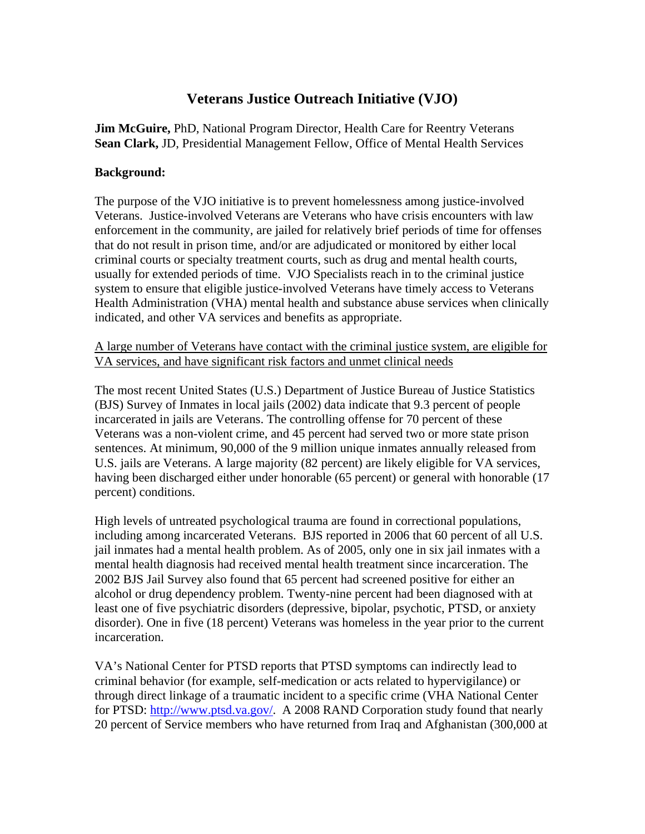# **Veterans Justice Outreach Initiative (VJO)**

**Jim McGuire,** PhD, National Program Director, Health Care for Reentry Veterans **Sean Clark,** JD, Presidential Management Fellow, Office of Mental Health Services

### **Background:**

The purpose of the VJO initiative is to prevent homelessness among justice-involved Veterans. Justice-involved Veterans are Veterans who have crisis encounters with law enforcement in the community, are jailed for relatively brief periods of time for offenses that do not result in prison time, and/or are adjudicated or monitored by either local criminal courts or specialty treatment courts, such as drug and mental health courts, usually for extended periods of time. VJO Specialists reach in to the criminal justice system to ensure that eligible justice-involved Veterans have timely access to Veterans Health Administration (VHA) mental health and substance abuse services when clinically indicated, and other VA services and benefits as appropriate.

A large number of Veterans have contact with the criminal justice system, are eligible for VA services, and have significant risk factors and unmet clinical needs

The most recent United States (U.S.) Department of Justice Bureau of Justice Statistics (BJS) Survey of Inmates in local jails (2002) data indicate that 9.3 percent of people incarcerated in jails are Veterans. The controlling offense for 70 percent of these Veterans was a non-violent crime, and 45 percent had served two or more state prison sentences. At minimum, 90,000 of the 9 million unique inmates annually released from U.S. jails are Veterans. A large majority (82 percent) are likely eligible for VA services, having been discharged either under honorable (65 percent) or general with honorable (17 percent) conditions.

High levels of untreated psychological trauma are found in correctional populations, including among incarcerated Veterans. BJS reported in 2006 that 60 percent of all U.S. jail inmates had a mental health problem. As of 2005, only one in six jail inmates with a mental health diagnosis had received mental health treatment since incarceration. The 2002 BJS Jail Survey also found that 65 percent had screened positive for either an alcohol or drug dependency problem. Twenty-nine percent had been diagnosed with at least one of five psychiatric disorders (depressive, bipolar, psychotic, PTSD, or anxiety disorder). One in five (18 percent) Veterans was homeless in the year prior to the current incarceration.

VA's National Center for PTSD reports that PTSD symptoms can indirectly lead to criminal behavior (for example, self-medication or acts related to hypervigilance) or through direct linkage of a traumatic incident to a specific crime (VHA National Center for PTSD: http://www.ptsd.va.gov/. A 2008 RAND Corporation study found that nearly 20 percent of Service members who have returned from Iraq and Afghanistan (300,000 at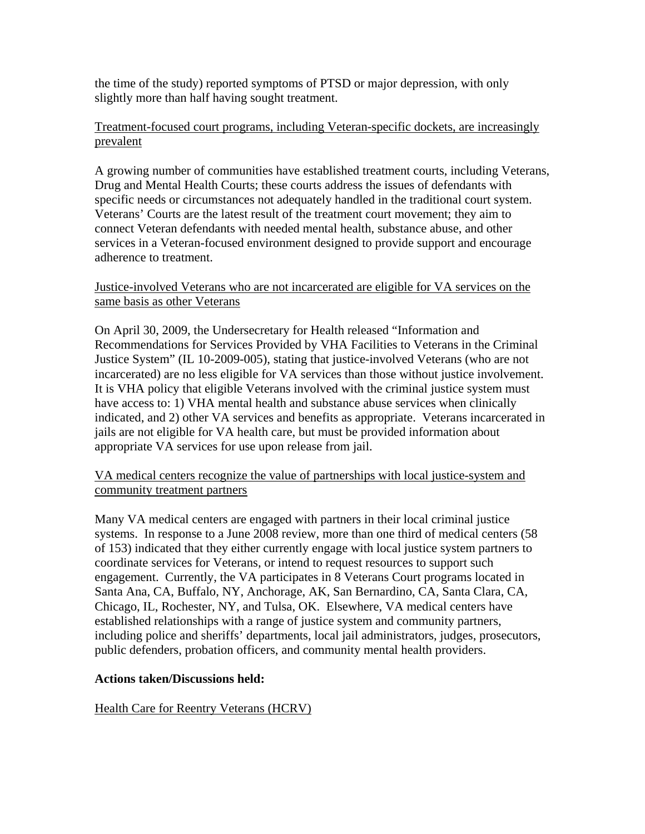the time of the study) reported symptoms of PTSD or major depression, with only slightly more than half having sought treatment.

#### Treatment-focused court programs, including Veteran-specific dockets, are increasingly prevalent

A growing number of communities have established treatment courts, including Veterans, Drug and Mental Health Courts; these courts address the issues of defendants with specific needs or circumstances not adequately handled in the traditional court system. Veterans' Courts are the latest result of the treatment court movement; they aim to connect Veteran defendants with needed mental health, substance abuse, and other services in a Veteran-focused environment designed to provide support and encourage adherence to treatment.

### Justice-involved Veterans who are not incarcerated are eligible for VA services on the same basis as other Veterans

On April 30, 2009, the Undersecretary for Health released "Information and Recommendations for Services Provided by VHA Facilities to Veterans in the Criminal Justice System" (IL 10-2009-005), stating that justice-involved Veterans (who are not incarcerated) are no less eligible for VA services than those without justice involvement. It is VHA policy that eligible Veterans involved with the criminal justice system must have access to: 1) VHA mental health and substance abuse services when clinically indicated, and 2) other VA services and benefits as appropriate. Veterans incarcerated in jails are not eligible for VA health care, but must be provided information about appropriate VA services for use upon release from jail.

# VA medical centers recognize the value of partnerships with local justice-system and community treatment partners

Many VA medical centers are engaged with partners in their local criminal justice systems. In response to a June 2008 review, more than one third of medical centers (58 of 153) indicated that they either currently engage with local justice system partners to coordinate services for Veterans, or intend to request resources to support such engagement. Currently, the VA participates in 8 Veterans Court programs located in Santa Ana, CA, Buffalo, NY, Anchorage, AK, San Bernardino, CA, Santa Clara, CA, Chicago, IL, Rochester, NY, and Tulsa, OK. Elsewhere, VA medical centers have established relationships with a range of justice system and community partners, including police and sheriffs' departments, local jail administrators, judges, prosecutors, public defenders, probation officers, and community mental health providers.

# **Actions taken/Discussions held:**

# Health Care for Reentry Veterans (HCRV)